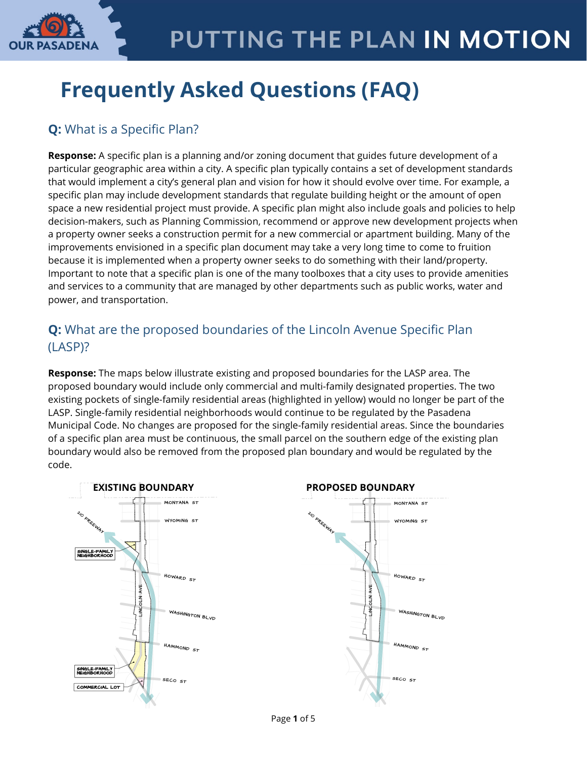

## **Frequently Asked Questions (FAQ)**

## **Q:** What is a Specific Plan?

**Response:** A specific plan is a planning and/or zoning document that guides future development of a particular geographic area within a city. A specific plan typically contains a set of development standards that would implement a city's general plan and vision for how it should evolve over time. For example, a specific plan may include development standards that regulate building height or the amount of open space a new residential project must provide. A specific plan might also include goals and policies to help decision-makers, such as Planning Commission, recommend or approve new development projects when a property owner seeks a construction permit for a new commercial or apartment building. Many of the improvements envisioned in a specific plan document may take a very long time to come to fruition because it is implemented when a property owner seeks to do something with their land/property. Important to note that a specific plan is one of the many toolboxes that a city uses to provide amenities and services to a community that are managed by other departments such as public works, water and power, and transportation.

### **Q:** What are the proposed boundaries of the Lincoln Avenue Specific Plan (LASP)?

**Response:** The maps below illustrate existing and proposed boundaries for the LASP area. The proposed boundary would include only commercial and multi-family designated properties. The two existing pockets of single-family residential areas (highlighted in yellow) would no longer be part of the LASP. Single-family residential neighborhoods would continue to be regulated by the Pasadena Municipal Code. No changes are proposed for the single-family residential areas. Since the boundaries of a specific plan area must be continuous, the small parcel on the southern edge of the existing plan boundary would also be removed from the proposed plan boundary and would be regulated by the code.

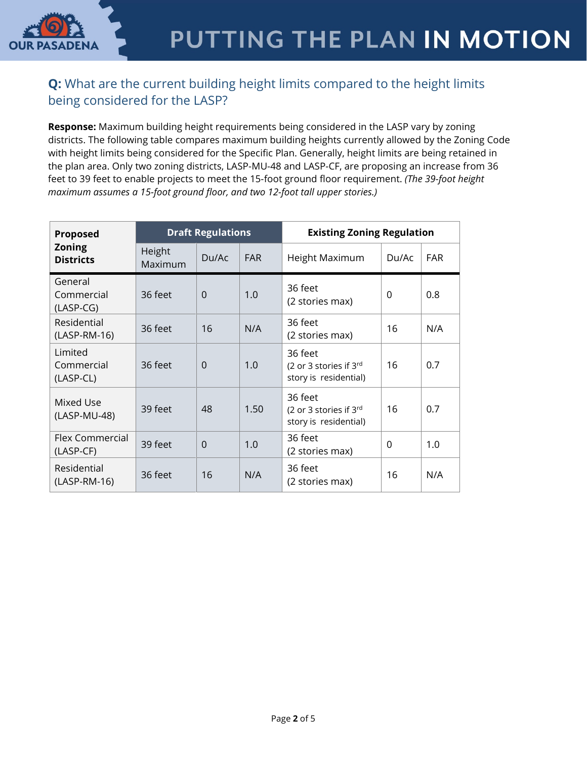

### **Q:** What are the current building height limits compared to the height limits being considered for the LASP?

**Response:** Maximum building height requirements being considered in the LASP vary by zoning districts. The following table compares maximum building heights currently allowed by the Zoning Code with height limits being considered for the Specific Plan. Generally, height limits are being retained in the plan area. Only two zoning districts, LASP-MU-48 and LASP-CF, are proposing an increase from 36 feet to 39 feet to enable projects to meet the 15-foot ground floor requirement. *(The 39-foot height maximum assumes a 15-foot ground floor, and two 12-foot tall upper stories.)*

| Proposed<br><b>Zoning</b><br><b>Districts</b> | <b>Draft Regulations</b> |             |            | <b>Existing Zoning Regulation</b>                          |       |            |
|-----------------------------------------------|--------------------------|-------------|------------|------------------------------------------------------------|-------|------------|
|                                               | Height<br>Maximum        | Du/Ac       | <b>FAR</b> | Height Maximum                                             | Du/Ac | <b>FAR</b> |
| General<br>Commercial<br>$(LASP\text{-}CG)$   | 36 feet                  | $\mathbf 0$ | 1.0        | 36 feet<br>(2 stories max)                                 | 0     | 0.8        |
| Residential<br>$(LASP-RM-16)$                 | 36 feet                  | 16          | N/A        | 36 feet<br>(2 stories max)                                 | 16    | N/A        |
| Limited<br>Commercial<br>(LASP-CL)            | 36 feet                  | $\Omega$    | 1.0        | 36 feet<br>(2 or 3 stories if 3rd<br>story is residential) | 16    | 0.7        |
| Mixed Use<br>(LASP-MU-48)                     | 39 feet                  | 48          | 1.50       | 36 feet<br>(2 or 3 stories if 3rd<br>story is residential) | 16    | 0.7        |
| Flex Commercial<br>(LASP-CF)                  | 39 feet                  | $\Omega$    | 1.0        | 36 feet<br>(2 stories max)                                 | 0     | 1.0        |
| Residential<br>(LASP-RM-16)                   | 36 feet                  | 16          | N/A        | 36 feet<br>(2 stories max)                                 | 16    | N/A        |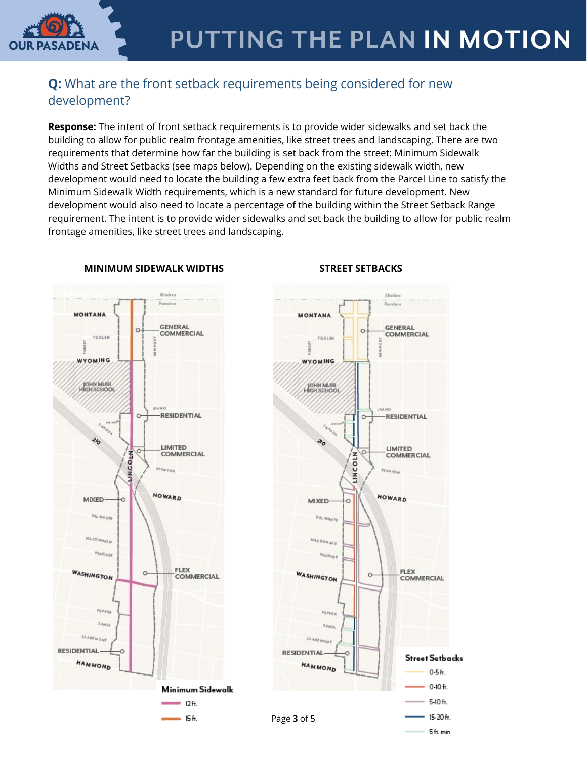

### **Q:** What are the front setback requirements being considered for new development?

**Response:** The intent of front setback requirements is to provide wider sidewalks and set back the building to allow for public realm frontage amenities, like street trees and landscaping. There are two requirements that determine how far the building is set back from the street: Minimum Sidewalk Widths and Street Setbacks (see maps below). Depending on the existing sidewalk width, new development would need to locate the building a few extra feet back from the Parcel Line to satisfy the Minimum Sidewalk Width requirements, which is a new standard for future development. New development would also need to locate a percentage of the building within the Street Setback Range requirement. The intent is to provide wider sidewalks and set back the building to allow for public realm frontage amenities, like street trees and landscaping.



### **MINIMUM SIDEWALK WIDTHS STREET SETBACKS**

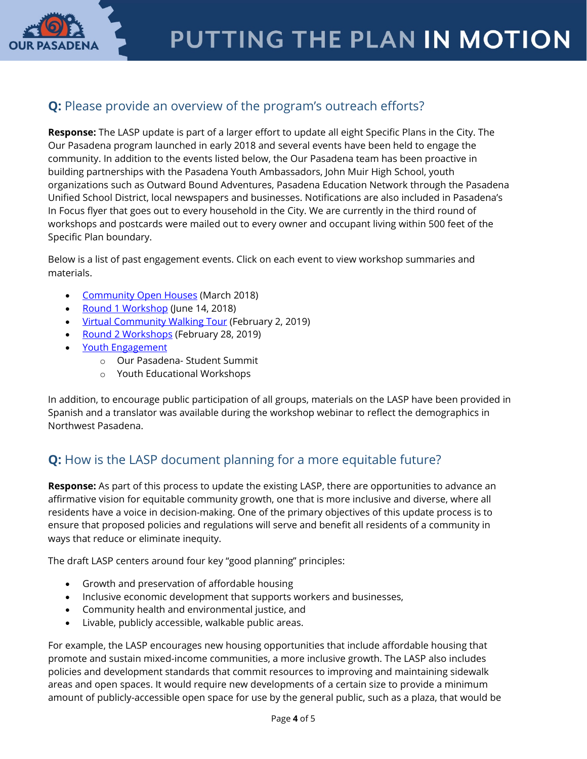

### **Q:** Please provide an overview of the program's outreach efforts?

**Response:** The LASP update is part of a larger effort to update all eight Specific Plans in the City. The Our Pasadena program launched in early 2018 and several events have been held to engage the community. In addition to the events listed below, the Our Pasadena team has been proactive in building partnerships with the Pasadena Youth Ambassadors, John Muir High School, youth organizations such as Outward Bound Adventures, Pasadena Education Network through the Pasadena Unified School District, local newspapers and businesses. Notifications are also included in Pasadena's In Focus flyer that goes out to every household in the City. We are currently in the third round of workshops and postcards were mailed out to every owner and occupant living within 500 feet of the Specific Plan boundary.

Below is a list of past engagement events. Click on each event to view workshop summaries and materials.

- **[Community Open Houses](https://www.ourpasadena.org/march-open-houses) (March 2018)**
- [Round 1 Workshop](https://www.ourpasadena.org/Lincoln-Round1-Materials) (June 14, 2018)
- [Virtual Community Walking Tour](https://www.ourpasadena.org/Lincoln-Walking-Tour-Summary) (February 2, 2019)
- [Round 2 Workshops](https://www.ourpasadena.org/Lincoln-Round-2-Materials) (February 28, 2019)
- [Youth Engagement](https://www.ourpasadena.org/student-engagement)
	- o Our Pasadena- Student Summit
	- o Youth Educational Workshops

In addition, to encourage public participation of all groups, materials on the LASP have been provided in Spanish and a translator was available during the workshop webinar to reflect the demographics in Northwest Pasadena.

### **Q:** How is the LASP document planning for a more equitable future?

**Response:** As part of this process to update the existing LASP, there are opportunities to advance an affirmative vision for equitable community growth, one that is more inclusive and diverse, where all residents have a voice in decision-making. One of the primary objectives of this update process is to ensure that proposed policies and regulations will serve and benefit all residents of a community in ways that reduce or eliminate inequity.

The draft LASP centers around four key "good planning" principles:

- Growth and preservation of affordable housing
- Inclusive economic development that supports workers and businesses,
- Community health and environmental justice, and
- Livable, publicly accessible, walkable public areas.

For example, the LASP encourages new housing opportunities that include affordable housing that promote and sustain mixed-income communities, a more inclusive growth. The LASP also includes policies and development standards that commit resources to improving and maintaining sidewalk areas and open spaces. It would require new developments of a certain size to provide a minimum amount of publicly-accessible open space for use by the general public, such as a plaza, that would be